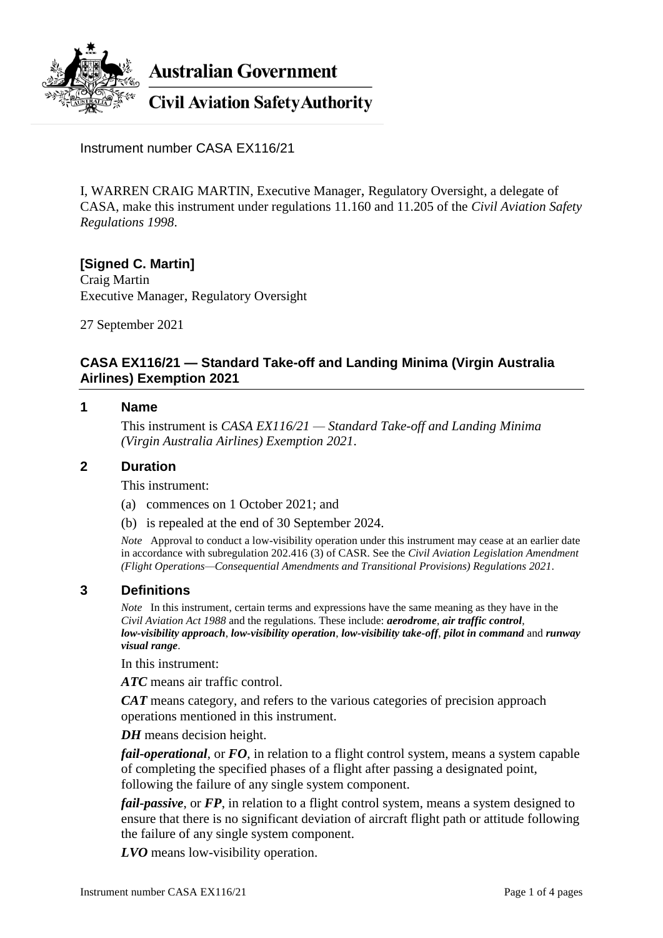

**Australian Government** 

**Civil Aviation Safety Authority** 

Instrument number CASA EX116/21

I, WARREN CRAIG MARTIN, Executive Manager, Regulatory Oversight, a delegate of CASA, make this instrument under regulations 11.160 and 11.205 of the *Civil Aviation Safety Regulations 1998*.

**[Signed C. Martin]** Craig Martin Executive Manager, Regulatory Oversight

27 September 2021

# **CASA EX116/21 — Standard Take-off and Landing Minima (Virgin Australia Airlines) Exemption 2021**

### **1 Name**

This instrument is *CASA EX116/21 — Standard Take-off and Landing Minima (Virgin Australia Airlines) Exemption 2021*.

### **2 Duration**

This instrument:

- (a) commences on 1 October 2021; and
- (b) is repealed at the end of 30 September 2024.

*Note* Approval to conduct a low-visibility operation under this instrument may cease at an earlier date in accordance with subregulation 202.416 (3) of CASR. See the *Civil Aviation Legislation Amendment (Flight Operations—Consequential Amendments and Transitional Provisions) Regulations 2021*.

## **3 Definitions**

*Note* In this instrument, certain terms and expressions have the same meaning as they have in the *Civil Aviation Act 1988* and the regulations. These include: *aerodrome*, *air traffic control*, *low-visibility approach*, *low-visibility operation*, *low-visibility take-off*, *pilot in command* and *runway visual range*.

In this instrument:

*ATC* means air traffic control.

*CAT* means category, and refers to the various categories of precision approach operations mentioned in this instrument.

*DH* means decision height.

*fail-operational*, or *FO*, in relation to a flight control system, means a system capable of completing the specified phases of a flight after passing a designated point, following the failure of any single system component.

*fail-passive*, or *FP*, in relation to a flight control system, means a system designed to ensure that there is no significant deviation of aircraft flight path or attitude following the failure of any single system component.

*LVO* means low-visibility operation.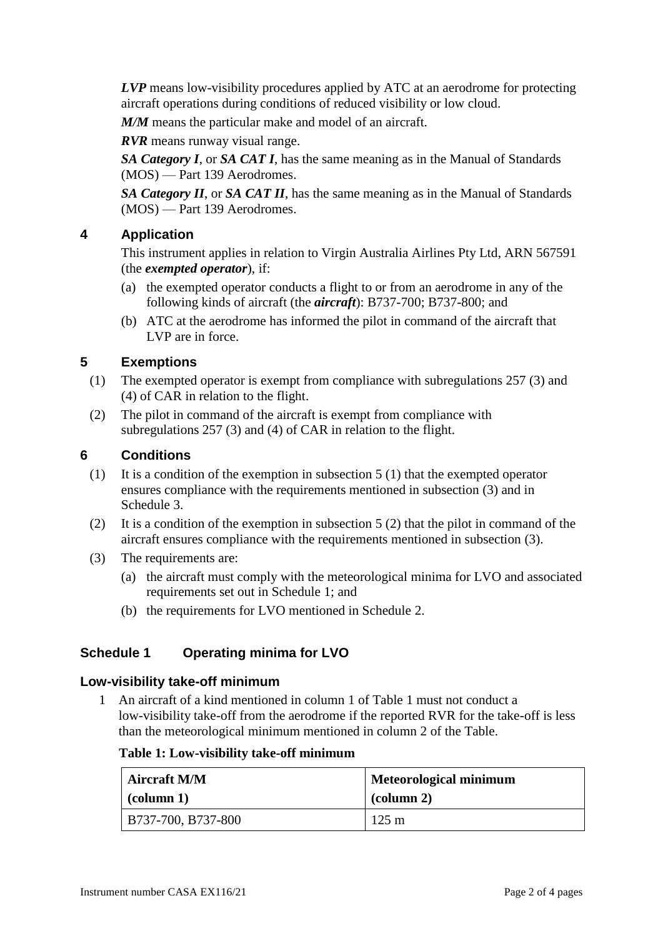*LVP* means low-visibility procedures applied by ATC at an aerodrome for protecting aircraft operations during conditions of reduced visibility or low cloud.

*M/M* means the particular make and model of an aircraft.

*RVR* means runway visual range.

*SA Category I*, or *SA CAT I*, has the same meaning as in the Manual of Standards (MOS) — Part 139 Aerodromes.

*SA Category II*, or *SA CAT II*, has the same meaning as in the Manual of Standards (MOS) — Part 139 Aerodromes.

# **4 Application**

This instrument applies in relation to Virgin Australia Airlines Pty Ltd, ARN 567591 (the *exempted operator*), if:

- (a) the exempted operator conducts a flight to or from an aerodrome in any of the following kinds of aircraft (the *aircraft*): B737-700; B737-800; and
- (b) ATC at the aerodrome has informed the pilot in command of the aircraft that LVP are in force.

## **5 Exemptions**

- (1) The exempted operator is exempt from compliance with subregulations 257 (3) and (4) of CAR in relation to the flight.
- (2) The pilot in command of the aircraft is exempt from compliance with subregulations 257 (3) and (4) of CAR in relation to the flight.

### **6 Conditions**

- (1) It is a condition of the exemption in subsection 5 (1) that the exempted operator ensures compliance with the requirements mentioned in subsection (3) and in Schedule 3.
- (2) It is a condition of the exemption in subsection 5 (2) that the pilot in command of the aircraft ensures compliance with the requirements mentioned in subsection (3).
- (3) The requirements are:
	- (a) the aircraft must comply with the meteorological minima for LVO and associated requirements set out in Schedule 1; and
	- (b) the requirements for LVO mentioned in Schedule 2.

## **Schedule 1 Operating minima for LVO**

### **Low-visibility take-off minimum**

1 An aircraft of a kind mentioned in column 1 of Table 1 must not conduct a low-visibility take-off from the aerodrome if the reported RVR for the take-off is less than the meteorological minimum mentioned in column 2 of the Table.

#### **Table 1: Low-visibility take-off minimum**

| <b>Aircraft M/M</b> | <b>Meteorological minimum</b> |
|---------------------|-------------------------------|
| $\alpha$ (column 1) | $\alpha$ (column 2)           |
| B737-700, B737-800  | $125 \text{ m}$               |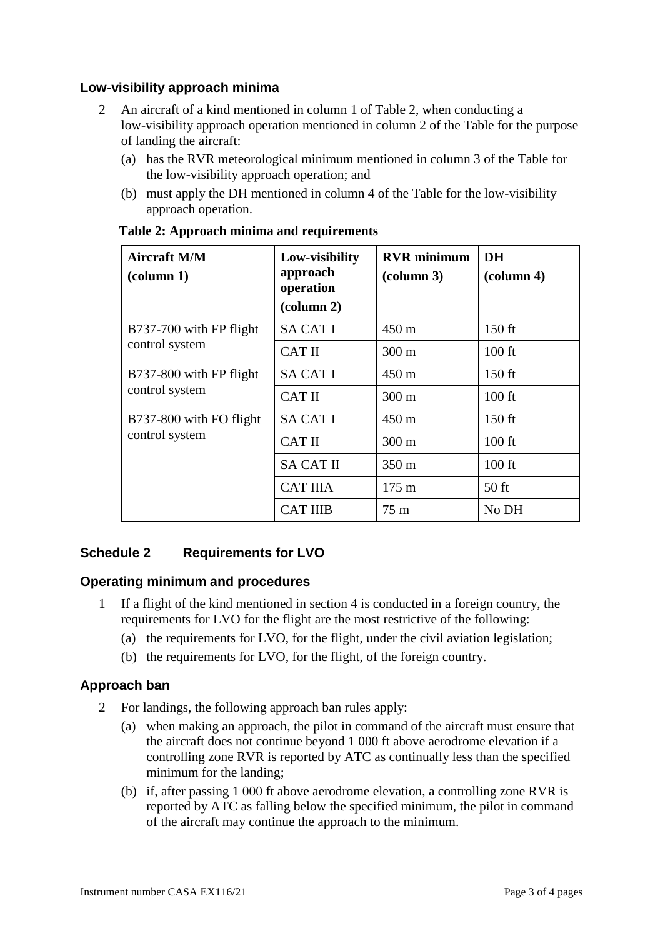# **Low-visibility approach minima**

- 2 An aircraft of a kind mentioned in column 1 of Table 2, when conducting a low-visibility approach operation mentioned in column 2 of the Table for the purpose of landing the aircraft:
	- (a) has the RVR meteorological minimum mentioned in column 3 of the Table for the low-visibility approach operation; and
	- (b) must apply the DH mentioned in column 4 of the Table for the low-visibility approach operation.

| <b>Aircraft M/M</b><br>$\left(\text{column } 1\right)$ | Low-visibility<br>approach<br>operation<br>$\left(\text{column } 2\right)$ | <b>RVR</b> minimum<br>$\left(\text{column }3\right)$ | <b>DH</b><br>$\alpha$ lumn 4) |
|--------------------------------------------------------|----------------------------------------------------------------------------|------------------------------------------------------|-------------------------------|
| B737-700 with FP flight<br>control system              | <b>SA CAT I</b>                                                            | $450 \text{ m}$                                      | $150$ ft                      |
|                                                        | <b>CAT II</b>                                                              | $300 \text{ m}$                                      | $100$ ft                      |
| B737-800 with FP flight<br>control system              | <b>SA CAT I</b>                                                            | $450 \text{ m}$                                      | $150$ ft                      |
|                                                        | <b>CAT II</b>                                                              | $300 \text{ m}$                                      | $100$ ft                      |
| B737-800 with FO flight<br>control system              | <b>SA CAT I</b>                                                            | $450 \text{ m}$                                      | $150$ ft                      |
|                                                        | <b>CAT II</b>                                                              | $300 \text{ m}$                                      | $100$ ft                      |
|                                                        | <b>SA CAT II</b>                                                           | $350 \text{ m}$                                      | $100$ ft                      |
|                                                        | <b>CAT IIIA</b>                                                            | $175 \text{ m}$                                      | $50$ ft                       |
|                                                        | <b>CAT IIIB</b>                                                            | $75 \text{ m}$                                       | No DH                         |

### **Table 2: Approach minima and requirements**

# **Schedule 2 Requirements for LVO**

## **Operating minimum and procedures**

- 1 If a flight of the kind mentioned in section 4 is conducted in a foreign country, the requirements for LVO for the flight are the most restrictive of the following:
	- (a) the requirements for LVO, for the flight, under the civil aviation legislation;
	- (b) the requirements for LVO, for the flight, of the foreign country.

## **Approach ban**

- 2 For landings, the following approach ban rules apply:
	- (a) when making an approach, the pilot in command of the aircraft must ensure that the aircraft does not continue beyond 1 000 ft above aerodrome elevation if a controlling zone RVR is reported by ATC as continually less than the specified minimum for the landing;
	- (b) if, after passing 1 000 ft above aerodrome elevation, a controlling zone RVR is reported by ATC as falling below the specified minimum, the pilot in command of the aircraft may continue the approach to the minimum.